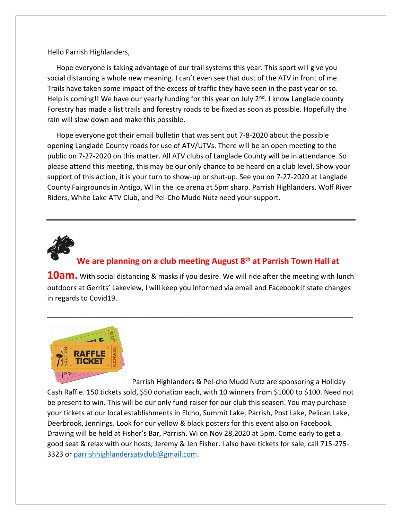Hello Parrish Highlanders,

 Hope everyone is taking advantage of our trail systems this year. This sport will give you social distancing a whole new meaning. I can't even see that dust of the ATV in front of me. Trails have taken some impact of the excess of traffic they have seen in the past year or so. Help is coming!! We have our yearly funding for this year on July  $2<sup>nd</sup>$ . I know Langlade county Forestry has made a list trails and forestry roads to be fixed as soon as possible. Hopefully the rain will slow down and make this possible.

 Hope everyone got their email bulletin that was sent out 7-8-2020 about the possible opening Langlade County roads for use of ATV/UTVs. There will be an open meeting to the public on 7-27-2020 on this matter. All ATV clubs of Langlade County will be in attendance. So please attend this meeting, this may be our only chance to be heard on a club level. Show your support of this action, it is your turn to show-up or shut-up. See you on 7-27-2020 at Langlade County Fairgrounds in Antigo, WI in the ice arena at 5pm sharp. Parrish Highlanders, Wolf River Riders, White Lake ATV Club, and Pel-Cho Mudd Nutz need your support.



## **We are planning on a club meeting August 8th at Parrish Town Hall at**

**10am.** With social distancing & masks if you desire. We will ride after the meeting with lunch outdoors at Gerrits' Lakeview, I will keep you informed via email and Facebook if state changes in regards to Covid19.

**\_\_\_\_\_\_\_\_\_\_\_\_\_\_\_\_\_\_\_\_\_\_\_\_\_\_\_\_\_\_\_\_\_\_\_\_\_\_\_\_\_\_\_\_\_\_\_\_\_\_\_\_\_\_\_\_\_\_\_\_\_\_\_\_\_\_\_\_\_\_\_\_\_\_\_\_\_\_**



 Parrish Highlanders & Pel-cho Mudd Nutz are sponsoring a Holiday Cash Raffle. 150 tickets sold, \$50 donation each, with 10 winners from \$1000 to \$100. Need not be present to win. This will be our only fund raiser for our club this season. You may purchase your tickets at our local establishments in Elcho, Summit Lake, Parrish, Post Lake, Pelican Lake, Deerbrook, Jennings**.** Look for our yellow & black posters for this event also on Facebook. Drawing will be held at Fisher's Bar, Parrish. Wi on Nov 28,2020 at 5pm. Come early to get a good seat & relax with our hosts; Jeremy & Jen Fisher. I also have tickets for sale, call 715-275- 3323 or [parrishhighlandersatvclub@gmail.com.](mailto:parrishhighlandersatvclub@gmail.com)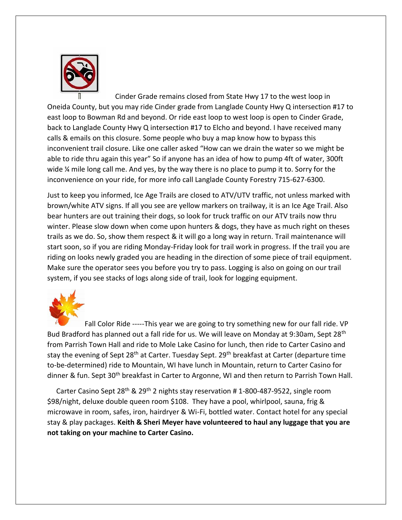

 Cinder Grade remains closed from State Hwy 17 to the west loop in Oneida County, but you may ride Cinder grade from Langlade County Hwy Q intersection #17 to east loop to Bowman Rd and beyond. Or ride east loop to west loop is open to Cinder Grade, back to Langlade County Hwy Q intersection #17 to Elcho and beyond. I have received many calls & emails on this closure. Some people who buy a map know how to bypass this inconvenient trail closure. Like one caller asked "How can we drain the water so we might be able to ride thru again this year" So if anyone has an idea of how to pump 4ft of water, 300ft wide % mile long call me. And yes, by the way there is no place to pump it to. Sorry for the inconvenience on your ride, for more info call Langlade County Forestry 715-627-6300.

Just to keep you informed, Ice Age Trails are closed to ATV/UTV traffic, not unless marked with brown/white ATV signs. If all you see are yellow markers on trailway, it is an Ice Age Trail. Also bear hunters are out training their dogs, so look for truck traffic on our ATV trails now thru winter. Please slow down when come upon hunters & dogs, they have as much right on theses trails as we do. So, show them respect & it will go a long way in return. Trail maintenance will start soon, so if you are riding Monday-Friday look for trail work in progress. If the trail you are riding on looks newly graded you are heading in the direction of some piece of trail equipment. Make sure the operator sees you before you try to pass. Logging is also on going on our trail system, if you see stacks of logs along side of trail, look for logging equipment.



Fall Color Ride -----This year we are going to try something new for our fall ride. VP Bud Bradford has planned out a fall ride for us. We will leave on Monday at 9:30am, Sept 28<sup>th</sup> from Parrish Town Hall and ride to Mole Lake Casino for lunch, then ride to Carter Casino and stay the evening of Sept 28<sup>th</sup> at Carter. Tuesday Sept. 29<sup>th</sup> breakfast at Carter (departure time to-be-determined) ride to Mountain, WI have lunch in Mountain, return to Carter Casino for dinner & fun. Sept 30<sup>th</sup> breakfast in Carter to Argonne, WI and then return to Parrish Town Hall.

 Carter Casino Sept 28th & 29th 2 nights stay reservation # 1-800-487-9522, single room \$98/night, deluxe double queen room \$108. They have a pool, whirlpool, sauna, frig & microwave in room, safes, iron, hairdryer & Wi-Fi, bottled water. Contact hotel for any special stay & play packages. **Keith & Sheri Meyer have volunteered to haul any luggage that you are not taking on your machine to Carter Casino.**